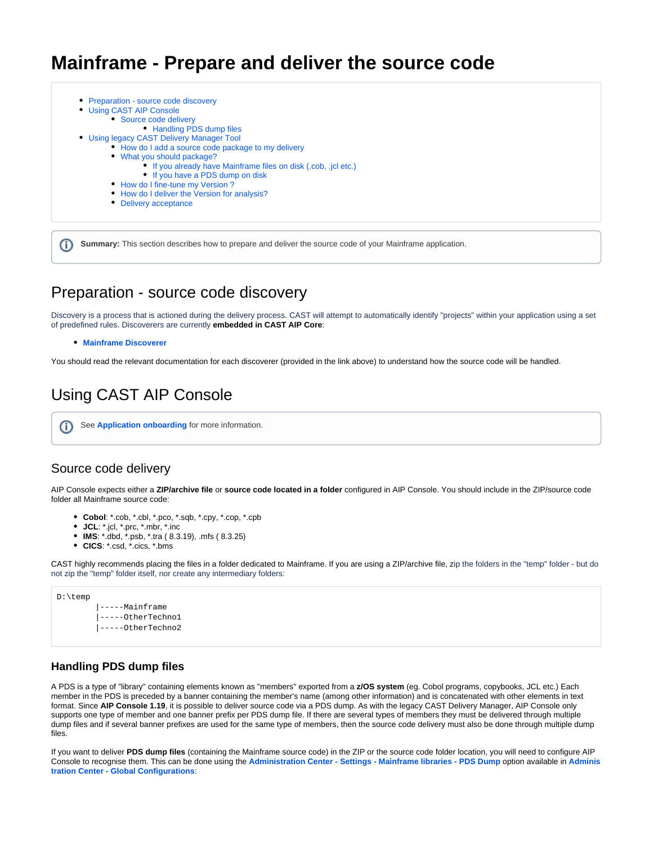# **Mainframe - Prepare and deliver the source code**

| • Preparation - source code discovery                           |
|-----------------------------------------------------------------|
| • Using CAST AIP Console                                        |
| • Source code delivery                                          |
| • Handling PDS dump files                                       |
| • Using legacy CAST Delivery Manager Tool                       |
| • How do I add a source code package to my delivery             |
| • What you should package?                                      |
| • If you already have Mainframe files on disk (.cob, .jcl etc.) |
| • If you have a PDS dump on disk                                |
| • How do I fine-tune my Version?                                |
| • How do I deliver the Version for analysis?                    |
| • Delivery acceptance                                           |

**Summary:** This section describes how to prepare and deliver the source code of your Mainframe application. ന

# <span id="page-0-0"></span>Preparation - source code discovery

Discovery is a process that is actioned during the delivery process. CAST will attempt to automatically identify "projects" within your application using a set of predefined rules. Discoverers are currently **embedded in CAST AIP Core**:

#### **[Mainframe Discoverer](https://doc.castsoftware.com/display/TECHNOS/Mainframe+Discoverer)**

You should read the relevant documentation for each discoverer (provided in the link above) to understand how the source code will be handled.

# <span id="page-0-1"></span>Using CAST AIP Console

See **[Application onboarding](https://doc.castsoftware.com/display/DASHBOARDS/Application+onboarding+for+AIP+for+Dashboards)** for more information.G)

#### <span id="page-0-2"></span>Source code delivery

AIP Console expects either a **ZIP/archive file** or **source code located in a folder** configured in AIP Console. You should include in the ZIP/source code folder all Mainframe source code:

- **Cobol**: \*.cob, \*.cbl, \*.pco, \*.sqb, \*.cpy, \*.cop, \*.cpb
- **JCL**: \*.jcl, \*.prc, \*.mbr, \*.inc
- **IMS**: \*.dbd, \*.psb, \*.tra ( 8.3.19), .mfs ( 8.3.25)
- **CICS**: \*.csd, \*.cics, \*.bms

CAST highly recommends placing the files in a folder dedicated to Mainframe. If you are using a ZIP/archive file, zip the folders in the "temp" folder - but do not zip the "temp" folder itself, nor create any intermediary folders:

| D:\temp |                           |
|---------|---------------------------|
|         | $ ---Mainframe$           |
|         | $\vert$ -----OtherTechnol |
|         | -----OtherTechno2         |
|         |                           |

#### <span id="page-0-3"></span>**Handling PDS dump files**

A PDS is a type of "library" containing elements known as "members" exported from a **z/OS system** (eg. Cobol programs, copybooks, JCL etc.) Each member in the PDS is preceded by a banner containing the member's name (among other information) and is concatenated with other elements in text format. Since **AIP Console 1.19**, it is possible to deliver source code via a PDS dump. As with the legacy CAST Delivery Manager, AIP Console only supports one type of member and one banner prefix per PDS dump file. If there are several types of members they must be delivered through multiple dump files and if several banner prefixes are used for the same type of members, then the source code delivery must also be done through multiple dump files.

If you want to deliver **PDS dump files** (containing the Mainframe source code) in the ZIP or the source code folder location, you will need to configure AIP Console to recognise them. This can be done using the **[Administration Center - Settings - Mainframe libraries - PDS Dump](https://doc.castsoftware.com/display/AIPCONSOLE/Administration+Center+-+Settings+-+Mainframe+libraries+-+PDS+Dump)** option available in **[Adminis](https://doc.castsoftware.com/display/AIPCONSOLE/Administration+Center+-+Global+Configurations) [tration Center - Global Configurations](https://doc.castsoftware.com/display/AIPCONSOLE/Administration+Center+-+Global+Configurations)**: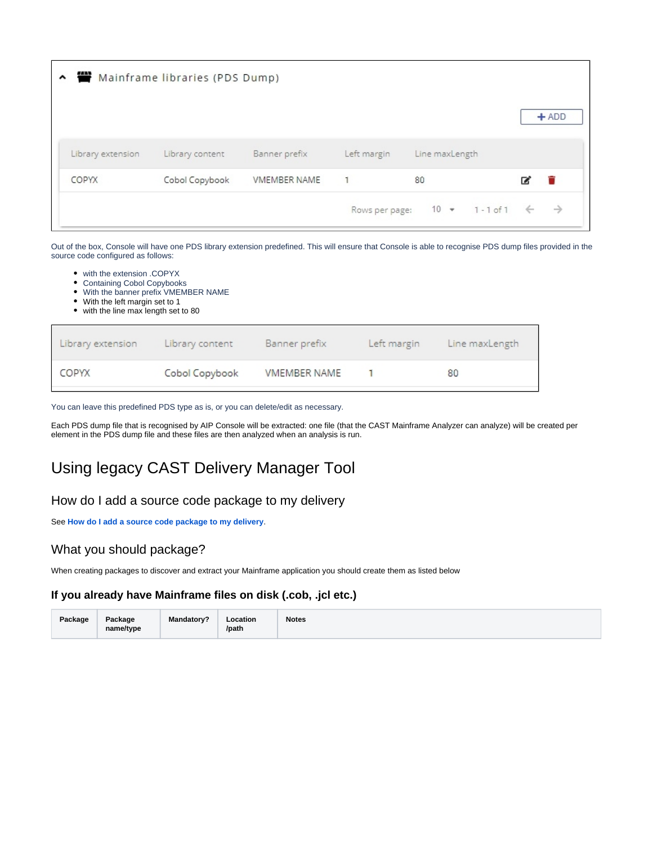|                   | ▲ ■ Mainframe libraries (PDS Dump) |                     |              |                                              |   |               |
|-------------------|------------------------------------|---------------------|--------------|----------------------------------------------|---|---------------|
|                   |                                    |                     |              |                                              |   | $+ADD$        |
| Library extension | Library content                    | Banner prefix       | Left margin  | Line maxLength                               |   |               |
| COPYX             | Cobol Copybook                     | <b>VMEMBER NAME</b> | $\mathbf{1}$ | 80                                           | z |               |
|                   |                                    |                     |              | Rows per page: $10 \div 1 - 1$ of $1 \div 1$ |   | $\rightarrow$ |

Out of the box, Console will have one PDS library extension predefined. This will ensure that Console is able to recognise PDS dump files provided in the source code configured as follows:

- with the extension .COPYX
- Containing Cobol Copybooks
- With the banner prefix VMEMBER NAME
- With the left margin set to 1
- with the line max length set to 80

| Library extension Library content |                | Banner prefix       |              | Left margin Line maxLength |
|-----------------------------------|----------------|---------------------|--------------|----------------------------|
| COPYX                             | Cobol Copybook | <b>VMEMBER NAME</b> | $\mathbf{1}$ | 80                         |

You can leave this predefined PDS type as is, or you can delete/edit as necessary.

Each PDS dump file that is recognised by AIP Console will be extracted: one file (that the CAST Mainframe Analyzer can analyze) will be created per element in the PDS dump file and these files are then analyzed when an analysis is run.

# <span id="page-1-0"></span>Using legacy CAST Delivery Manager Tool

### <span id="page-1-1"></span>How do I add a source code package to my delivery

See **[How do I add a source code package to my delivery](https://doc.castsoftware.com/display/DOC83/How+do+I+add+a+source+code+package+to+my+delivery)**.

### <span id="page-1-2"></span>What you should package?

When creating packages to discover and extract your Mainframe application you should create them as listed below

#### <span id="page-1-3"></span>**If you already have Mainframe files on disk (.cob, .jcl etc.)**

| Package | Package<br>name/type | <b>Mandatory?</b> | ∟ocation<br>/path | <b>Notes</b> |
|---------|----------------------|-------------------|-------------------|--------------|
|---------|----------------------|-------------------|-------------------|--------------|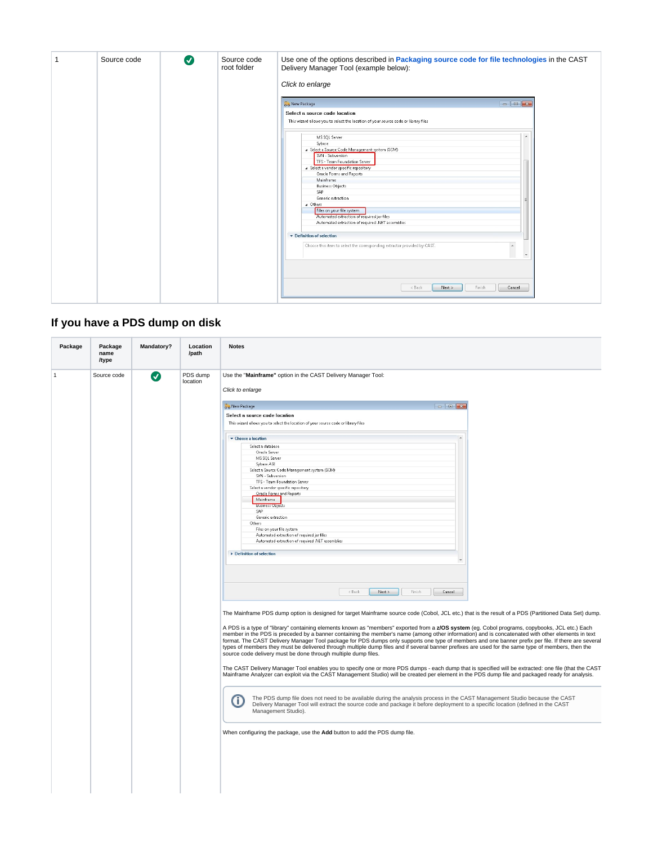| Source code | $\boldsymbol{\sigma}$ | Source code<br>root folder | Use one of the options described in Packaging source code for file technologies in the CAST<br>Delivery Manager Tool (example below):<br>Click to enlarge                                                                                                                                                                                                                                                                                                                                                                                                                                                                                                                                                                                            |  |  |  |
|-------------|-----------------------|----------------------------|------------------------------------------------------------------------------------------------------------------------------------------------------------------------------------------------------------------------------------------------------------------------------------------------------------------------------------------------------------------------------------------------------------------------------------------------------------------------------------------------------------------------------------------------------------------------------------------------------------------------------------------------------------------------------------------------------------------------------------------------------|--|--|--|
|             |                       |                            | $\begin{array}{c c c c c} \hline \multicolumn{1}{c }{\multicolumn{1}{c }{\hspace{-1.4ex}}}\n\multicolumn{1}{c }{\hspace{-1.4ex}} & \multicolumn{1}{c }{\hspace{-1.4ex}}\n\multicolumn{1}{c }{\hspace{-1.4ex}} & \multicolumn{1}{c }{\hspace{-1.4ex}}\n\end{array}$<br>o o New Package<br>Select a source code location<br>This wizard allows you to select the location of your source code or library files<br>MS SQL Server<br>$\blacktriangle$<br>Sybase<br>a Select a Source Code Management system (SCM)<br>SVN - Subversion<br>TFS - Team Foundation Server<br>a Select a vendor specific repository<br>Oracle Forms and Reports<br>Mainframe<br><b>Business Objects</b><br>SAP<br>Generic extraction<br>a Others<br>Files on your file system |  |  |  |
|             |                       |                            | Automated extraction of required jar files<br>Automated extraction of required .NET assemblies<br>Definition of selection<br>Choose this item to select the corresponding extractor provided by CAST.<br>$<$ Back<br>Next ><br>Finish<br>Cancel                                                                                                                                                                                                                                                                                                                                                                                                                                                                                                      |  |  |  |

# <span id="page-2-0"></span>**If you have a PDS dump on disk**

| Package      | Package<br>name<br>/type | Mandatory? | Location<br>/path    | <b>Notes</b>                                                                                                                                                                                                                                                                                                                                                                                                                                                                                                                                                                                                                                                                                                                                                                                                                                                                                                                                                                                                                                                                                                                                                                                                                                                                                                                                                                                                                                                                                                                                                                                                                                                                                                                                                                                                                                                                                                                                                                                                                                                                                                                                                                                                                                                                                                                                                                                                                                                                                                                                                                                                                                                                                                       |  |
|--------------|--------------------------|------------|----------------------|--------------------------------------------------------------------------------------------------------------------------------------------------------------------------------------------------------------------------------------------------------------------------------------------------------------------------------------------------------------------------------------------------------------------------------------------------------------------------------------------------------------------------------------------------------------------------------------------------------------------------------------------------------------------------------------------------------------------------------------------------------------------------------------------------------------------------------------------------------------------------------------------------------------------------------------------------------------------------------------------------------------------------------------------------------------------------------------------------------------------------------------------------------------------------------------------------------------------------------------------------------------------------------------------------------------------------------------------------------------------------------------------------------------------------------------------------------------------------------------------------------------------------------------------------------------------------------------------------------------------------------------------------------------------------------------------------------------------------------------------------------------------------------------------------------------------------------------------------------------------------------------------------------------------------------------------------------------------------------------------------------------------------------------------------------------------------------------------------------------------------------------------------------------------------------------------------------------------------------------------------------------------------------------------------------------------------------------------------------------------------------------------------------------------------------------------------------------------------------------------------------------------------------------------------------------------------------------------------------------------------------------------------------------------------------------------------------------------|--|
| $\mathbf{1}$ | Source code              | Ø          | PDS dump<br>location | Use the "Mainframe" option in the CAST Delivery Manager Tool:<br>Click to enlarge<br>$\begin{array}{c c c c c c} \hline \multicolumn{3}{c }{\multicolumn{3}{c }{\multicolumn{3}{c }{\multicolumn{3}{c }{\multicolumn{3}{c }{\multicolumn{3}{c }{\multicolumn{3}{c }{\multicolumn{3}{c }{\multicolumn{3}{c }{\multicolumn{3}{c}}}}}}}} \hline \multicolumn{3}{c }{\hline \multicolumn{3}{c }{\multicolumn{3}{c }{\multicolumn{3}{c }{\multicolumn{3}{c }{\multicolumn{3}{c }{\multicolumn{3}{c }{\multicolumn{3}{c }{\multicolumn{3}{c }{\mult$<br>o & New Package<br>Select a source code location<br>This wizard allows you to select the location of your source code or library files<br>Choose a location<br>Select a database<br>Oracle Server<br>MS SQL Server<br>Sybase ASE<br>Select a Source Code Management system (SCM)<br>SVN - Subversion<br>TFS - Team Foundation Server<br>Select a vendor specific repository<br>Oracle Forms and Reports<br>Mainframe<br><b>Business Objects</b><br>SAP<br>Generic extraction<br>Others<br>Files on your file system<br>Automated extraction of required jar files<br>Automated extraction of required .NET assemblies<br>Definition of selection<br>$\ddot{}$<br>$<$ Back<br>Next ><br>Finish<br>Cancel<br>The Mainframe PDS dump option is designed for target Mainframe source code (Cobol, JCL etc.) that is the result of a PDS (Partitioned Data Set) dump.<br>A PDS is a type of "library" containing elements known as "members" exported from a z/OS system (eq. Cobol programs, copybooks, JCL etc.) Each<br>member in the PDS is preceded by a banner containing the member's name (among other information) and is concatenated with other elements in text<br>format. The CAST Delivery Manager Tool package for PDS dumps only supports one type of members and one banner prefix per file. If there are several<br>types of members they must be delivered through multiple dump files and if several banner prefixes are used for the same type of members, then the<br>source code delivery must be done through multiple dump files.<br>The CAST Delivery Manager Tool enables you to specify one or more PDS dumps - each dump that is specified will be extracted: one file (that the CAST<br>Mainframe Analyzer can exploit via the CAST Management Studio) will be created per element in the PDS dump file and packaged ready for analysis.<br>The PDS dump file does not need to be available during the analysis process in the CAST Management Studio because the CAST<br>(i)<br>Delivery Manager Tool will extract the source code and package it before deployment to a specific location (defined in the CAST<br>Management Studio). |  |
|              |                          |            |                      | When configuring the package, use the Add button to add the PDS dump file.                                                                                                                                                                                                                                                                                                                                                                                                                                                                                                                                                                                                                                                                                                                                                                                                                                                                                                                                                                                                                                                                                                                                                                                                                                                                                                                                                                                                                                                                                                                                                                                                                                                                                                                                                                                                                                                                                                                                                                                                                                                                                                                                                                                                                                                                                                                                                                                                                                                                                                                                                                                                                                         |  |